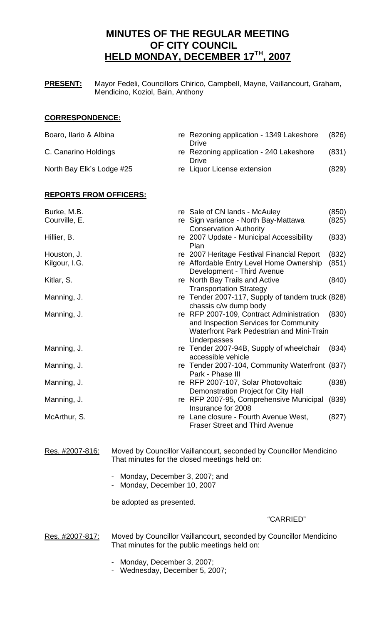# **MINUTES OF THE REGULAR MEETING OF CITY COUNCIL HELD MONDAY, DECEMBER 17TH, 2007**

**PRESENT:** Mayor Fedeli, Councillors Chirico, Campbell, Mayne, Vaillancourt, Graham, Mendicino, Koziol, Bain, Anthony

### **CORRESPONDENCE:**

| Boaro, Ilario & Albina    | re Rezoning application - 1349 Lakeshore<br>Drive | (826) |
|---------------------------|---------------------------------------------------|-------|
| C. Canarino Holdings      | re Rezoning application - 240 Lakeshore<br>Drive  | (831) |
| North Bay Elk's Lodge #25 | re Liquor License extension                       | (829) |

# **REPORTS FROM OFFICERS:**

| Burke, M.B.<br>Courville, E. | re Sale of CN lands - McAuley<br>re Sign variance - North Bay-Mattawa                                                                                | (850)<br>(825) |
|------------------------------|------------------------------------------------------------------------------------------------------------------------------------------------------|----------------|
|                              | <b>Conservation Authority</b>                                                                                                                        |                |
| Hillier, B.                  | re 2007 Update - Municipal Accessibility<br>Plan                                                                                                     | (833)          |
| Houston, J.                  | re 2007 Heritage Festival Financial Report                                                                                                           | (832)          |
| Kilgour, I.G.                | re Affordable Entry Level Home Ownership<br>Development - Third Avenue                                                                               | (851)          |
| Kitlar, S.                   | re North Bay Trails and Active<br><b>Transportation Strategy</b>                                                                                     | (840)          |
| Manning, J.                  | re Tender 2007-117, Supply of tandem truck (828)<br>chassis c/w dump body                                                                            |                |
| Manning, J.                  | re RFP 2007-109, Contract Administration<br>and Inspection Services for Community<br><b>Waterfront Park Pedestrian and Mini-Train</b><br>Underpasses | (830)          |
| Manning, J.                  | re Tender 2007-94B, Supply of wheelchair<br>accessible vehicle                                                                                       | (834)          |
| Manning, J.                  | re Tender 2007-104, Community Waterfront (837)<br>Park - Phase III                                                                                   |                |
| Manning, J.                  | re RFP 2007-107, Solar Photovoltaic<br>Demonstration Project for City Hall                                                                           | (838)          |
| Manning, J.                  | re RFP 2007-95, Comprehensive Municipal<br>Insurance for 2008                                                                                        | (839)          |
| McArthur, S.                 | re Lane closure - Fourth Avenue West,<br><b>Fraser Street and Third Avenue</b>                                                                       | (827)          |

Res. #2007-816: Moved by Councillor Vaillancourt, seconded by Councillor Mendicino That minutes for the closed meetings held on:

- Monday, December 3, 2007; and
- Monday, December 10, 2007

be adopted as presented.

# "CARRIED"

Res. #2007-817: Moved by Councillor Vaillancourt, seconded by Councillor Mendicino That minutes for the public meetings held on:

- Monday, December 3, 2007;
- Wednesday, December 5, 2007;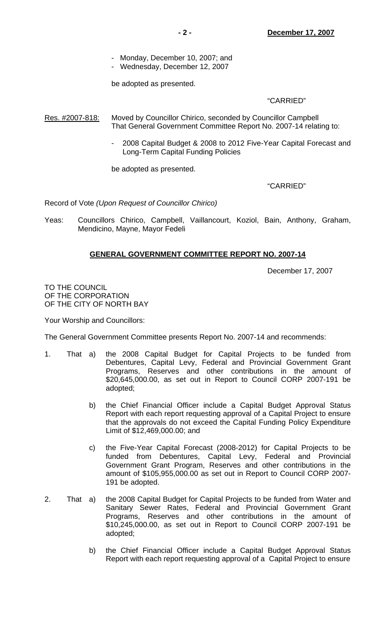- Monday, December 10, 2007; and
- Wednesday, December 12, 2007

be adopted as presented.

# "CARRIED"

Res. #2007-818: Moved by Councillor Chirico, seconded by Councillor Campbell That General Government Committee Report No. 2007-14 relating to:

> - 2008 Capital Budget & 2008 to 2012 Five-Year Capital Forecast and Long-Term Capital Funding Policies

be adopted as presented.

"CARRIED"

Record of Vote *(Upon Request of Councillor Chirico)*

Yeas: Councillors Chirico, Campbell, Vaillancourt, Koziol, Bain, Anthony, Graham, Mendicino, Mayne, Mayor Fedeli

# **GENERAL GOVERNMENT COMMITTEE REPORT NO. 2007-14**

December 17, 2007

TO THE COUNCIL OF THE CORPORATION OF THE CITY OF NORTH BAY

Your Worship and Councillors:

The General Government Committee presents Report No. 2007-14 and recommends:

- 1. That a) the 2008 Capital Budget for Capital Projects to be funded from Debentures, Capital Levy, Federal and Provincial Government Grant Programs, Reserves and other contributions in the amount of \$20,645,000.00, as set out in Report to Council CORP 2007-191 be adopted;
	- b) the Chief Financial Officer include a Capital Budget Approval Status Report with each report requesting approval of a Capital Project to ensure that the approvals do not exceed the Capital Funding Policy Expenditure Limit of \$12,469,000.00; and
	- c) the Five-Year Capital Forecast (2008-2012) for Capital Projects to be funded from Debentures, Capital Levy, Federal and Provincial Government Grant Program, Reserves and other contributions in the amount of \$105,955,000.00 as set out in Report to Council CORP 2007- 191 be adopted.
- 2. That a) the 2008 Capital Budget for Capital Projects to be funded from Water and Sanitary Sewer Rates, Federal and Provincial Government Grant Programs, Reserves and other contributions in the amount of \$10,245,000.00, as set out in Report to Council CORP 2007-191 be adopted;
	- b) the Chief Financial Officer include a Capital Budget Approval Status Report with each report requesting approval of a Capital Project to ensure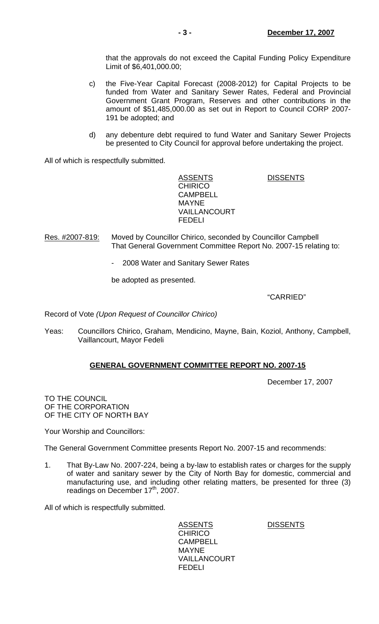that the approvals do not exceed the Capital Funding Policy Expenditure Limit of \$6,401,000.00;

- c) the Five-Year Capital Forecast (2008-2012) for Capital Projects to be funded from Water and Sanitary Sewer Rates, Federal and Provincial Government Grant Program, Reserves and other contributions in the amount of \$51,485,000.00 as set out in Report to Council CORP 2007- 191 be adopted; and
- d) any debenture debt required to fund Water and Sanitary Sewer Projects be presented to City Council for approval before undertaking the project.

All of which is respectfully submitted.

ASSENTS DISSENTS **CHIRICO**  CAMPBELL MAYNE VAILLANCOURT FEDELI

Res. #2007-819: Moved by Councillor Chirico, seconded by Councillor Campbell That General Government Committee Report No. 2007-15 relating to:

- 2008 Water and Sanitary Sewer Rates

be adopted as presented.

"CARRIED"

Record of Vote *(Upon Request of Councillor Chirico)*

Yeas: Councillors Chirico, Graham, Mendicino, Mayne, Bain, Koziol, Anthony, Campbell, Vaillancourt, Mayor Fedeli

# **GENERAL GOVERNMENT COMMITTEE REPORT NO. 2007-15**

December 17, 2007

TO THE COUNCIL OF THE CORPORATION OF THE CITY OF NORTH BAY

Your Worship and Councillors:

The General Government Committee presents Report No. 2007-15 and recommends:

1. That By-Law No. 2007-224, being a by-law to establish rates or charges for the supply of water and sanitary sewer by the City of North Bay for domestic, commercial and manufacturing use, and including other relating matters, be presented for three (3) readings on December 17<sup>th</sup>, 2007.

All of which is respectfully submitted.

ASSENTS DISSENTS **CHIRICO**  CAMPBELL MAYNE VAILLANCOURT FEDELI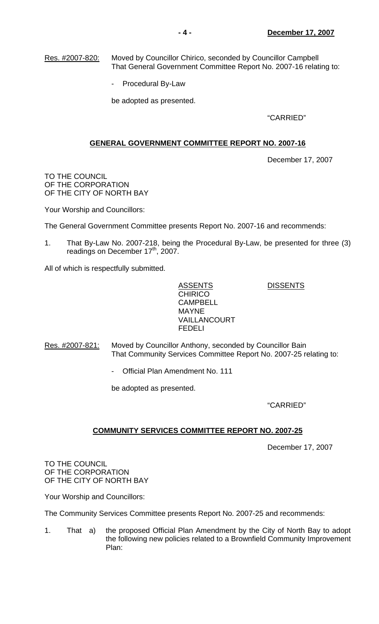Res. #2007-820: Moved by Councillor Chirico, seconded by Councillor Campbell That General Government Committee Report No. 2007-16 relating to:

- Procedural By-Law

be adopted as presented.

"CARRIED"

# **GENERAL GOVERNMENT COMMITTEE REPORT NO. 2007-16**

December 17, 2007

TO THE COUNCIL OF THE CORPORATION OF THE CITY OF NORTH BAY

Your Worship and Councillors:

The General Government Committee presents Report No. 2007-16 and recommends:

1. That By-Law No. 2007-218, being the Procedural By-Law, be presented for three (3) readings on December 17<sup>th</sup>, 2007.

All of which is respectfully submitted.

ASSENTS DISSENTS **CHIRICO**  CAMPBELL MAYNE VAILLANCOURT FEDELI

Res. #2007-821: Moved by Councillor Anthony, seconded by Councillor Bain That Community Services Committee Report No. 2007-25 relating to:

- Official Plan Amendment No. 111

be adopted as presented.

"CARRIED"

# **COMMUNITY SERVICES COMMITTEE REPORT NO. 2007-25**

December 17, 2007

TO THE COUNCIL OF THE CORPORATION OF THE CITY OF NORTH BAY

Your Worship and Councillors:

The Community Services Committee presents Report No. 2007-25 and recommends:

1. That a) the proposed Official Plan Amendment by the City of North Bay to adopt the following new policies related to a Brownfield Community Improvement Plan: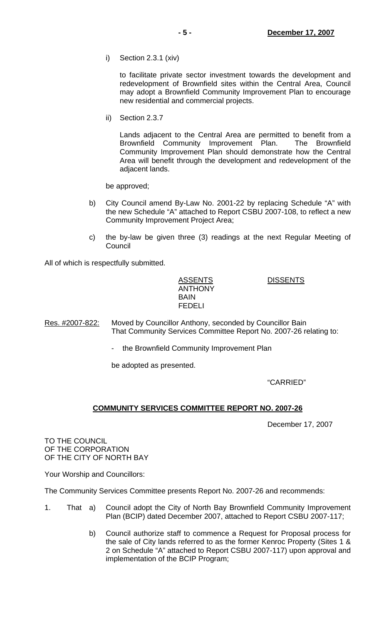i) Section 2.3.1 (xiv)

 to facilitate private sector investment towards the development and redevelopment of Brownfield sites within the Central Area, Council may adopt a Brownfield Community Improvement Plan to encourage new residential and commercial projects.

ii) Section 2.3.7

 Lands adjacent to the Central Area are permitted to benefit from a Brownfield Community Improvement Plan. The Brownfield Community Improvement Plan should demonstrate how the Central Area will benefit through the development and redevelopment of the adjacent lands.

be approved;

- b) City Council amend By-Law No. 2001-22 by replacing Schedule "A" with the new Schedule "A" attached to Report CSBU 2007-108, to reflect a new Community Improvement Project Area;
- c) the by-law be given three (3) readings at the next Regular Meeting of **Council**

All of which is respectfully submitted.

 ASSENTS DISSENTS ANTHONY BAIN FEDELI

Res. #2007-822: Moved by Councillor Anthony, seconded by Councillor Bain That Community Services Committee Report No. 2007-26 relating to:

the Brownfield Community Improvement Plan

be adopted as presented.

"CARRIED"

#### **COMMUNITY SERVICES COMMITTEE REPORT NO. 2007-26**

December 17, 2007

TO THE COUNCIL OF THE CORPORATION OF THE CITY OF NORTH BAY

Your Worship and Councillors:

The Community Services Committee presents Report No. 2007-26 and recommends:

- 1. That a) Council adopt the City of North Bay Brownfield Community Improvement Plan (BCIP) dated December 2007, attached to Report CSBU 2007-117;
	- b) Council authorize staff to commence a Request for Proposal process for the sale of City lands referred to as the former Kenroc Property (Sites 1 & 2 on Schedule "A" attached to Report CSBU 2007-117) upon approval and implementation of the BCIP Program;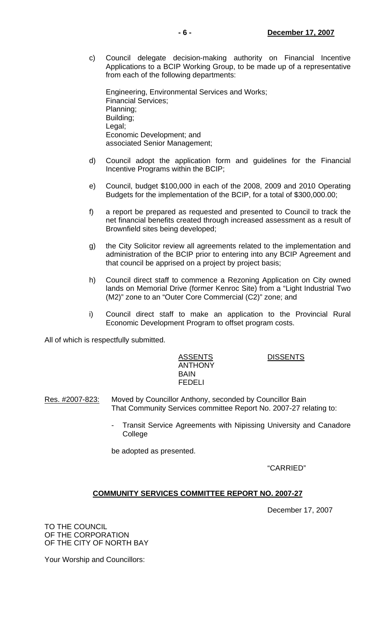c) Council delegate decision-making authority on Financial Incentive Applications to a BCIP Working Group, to be made up of a representative from each of the following departments:

 Engineering, Environmental Services and Works; Financial Services; Planning; Building; Legal; Economic Development; and associated Senior Management;

- d) Council adopt the application form and guidelines for the Financial Incentive Programs within the BCIP;
- e) Council, budget \$100,000 in each of the 2008, 2009 and 2010 Operating Budgets for the implementation of the BCIP, for a total of \$300,000.00;
- f) a report be prepared as requested and presented to Council to track the net financial benefits created through increased assessment as a result of Brownfield sites being developed;
- g) the City Solicitor review all agreements related to the implementation and administration of the BCIP prior to entering into any BCIP Agreement and that council be apprised on a project by project basis;
- h) Council direct staff to commence a Rezoning Application on City owned lands on Memorial Drive (former Kenroc Site) from a "Light Industrial Two (M2)" zone to an "Outer Core Commercial (C2)" zone; and
- i) Council direct staff to make an application to the Provincial Rural Economic Development Program to offset program costs.

All of which is respectfully submitted.

 ASSENTS DISSENTS ANTHONY BAIN FEDELI

- Res. #2007-823: Moved by Councillor Anthony, seconded by Councillor Bain That Community Services committee Report No. 2007-27 relating to:
	- Transit Service Agreements with Nipissing University and Canadore College

be adopted as presented.

"CARRIED"

# **COMMUNITY SERVICES COMMITTEE REPORT NO. 2007-27**

December 17, 2007

TO THE COUNCIL OF THE CORPORATION OF THE CITY OF NORTH BAY

Your Worship and Councillors: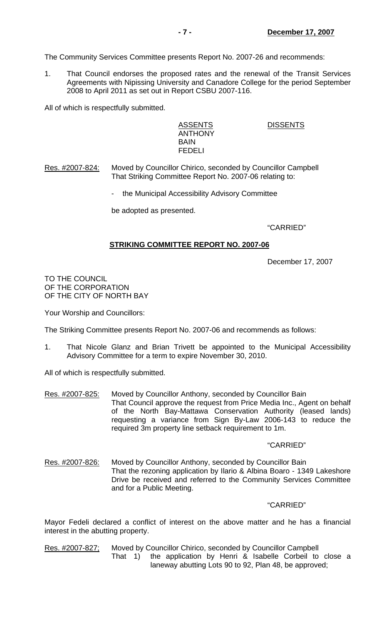The Community Services Committee presents Report No. 2007-26 and recommends:

1. That Council endorses the proposed rates and the renewal of the Transit Services Agreements with Nipissing University and Canadore College for the period September 2008 to April 2011 as set out in Report CSBU 2007-116.

All of which is respectfully submitted.

 ASSENTS DISSENTS ANTHONY **BAIN** FEDELI

Res. #2007-824: Moved by Councillor Chirico, seconded by Councillor Campbell That Striking Committee Report No. 2007-06 relating to:

- the Municipal Accessibility Advisory Committee

be adopted as presented.

"CARRIED"

#### **STRIKING COMMITTEE REPORT NO. 2007-06**

December 17, 2007

TO THE COUNCIL OF THE CORPORATION OF THE CITY OF NORTH BAY

Your Worship and Councillors:

The Striking Committee presents Report No. 2007-06 and recommends as follows:

1. That Nicole Glanz and Brian Trivett be appointed to the Municipal Accessibility Advisory Committee for a term to expire November 30, 2010.

All of which is respectfully submitted.

Res. #2007-825: Moved by Councillor Anthony, seconded by Councillor Bain That Council approve the request from Price Media Inc., Agent on behalf of the North Bay-Mattawa Conservation Authority (leased lands) requesting a variance from Sign By-Law 2006-143 to reduce the required 3m property line setback requirement to 1m.

#### "CARRIED"

Res. #2007-826: Moved by Councillor Anthony, seconded by Councillor Bain That the rezoning application by Ilario & Albina Boaro - 1349 Lakeshore Drive be received and referred to the Community Services Committee and for a Public Meeting.

"CARRIED"

Mayor Fedeli declared a conflict of interest on the above matter and he has a financial interest in the abutting property.

Res. #2007-827; Moved by Councillor Chirico, seconded by Councillor Campbell That 1) the application by Henri & Isabelle Corbeil to close a laneway abutting Lots 90 to 92, Plan 48, be approved;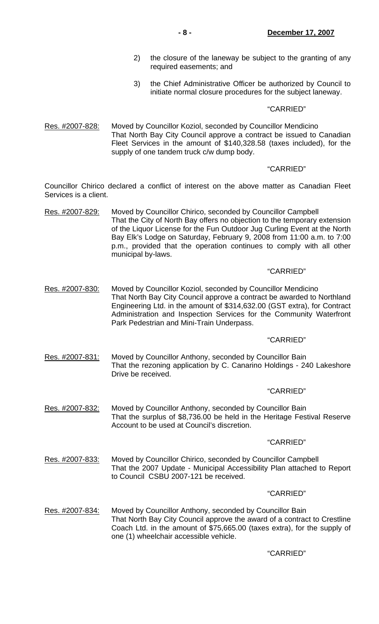- 2) the closure of the laneway be subject to the granting of any required easements; and
- 3) the Chief Administrative Officer be authorized by Council to initiate normal closure procedures for the subject laneway.

#### "CARRIED"

Res. #2007-828: Moved by Councillor Koziol, seconded by Councillor Mendicino That North Bay City Council approve a contract be issued to Canadian Fleet Services in the amount of \$140,328.58 (taxes included), for the supply of one tandem truck c/w dump body.

#### "CARRIED"

Councillor Chirico declared a conflict of interest on the above matter as Canadian Fleet Services is a client.

Res. #2007-829: Moved by Councillor Chirico, seconded by Councillor Campbell That the City of North Bay offers no objection to the temporary extension of the Liquor License for the Fun Outdoor Jug Curling Event at the North Bay Elk's Lodge on Saturday, February 9, 2008 from 11:00 a.m. to 7:00 p.m., provided that the operation continues to comply with all other municipal by-laws.

#### "CARRIED"

Res. #2007-830: Moved by Councillor Koziol, seconded by Councillor Mendicino That North Bay City Council approve a contract be awarded to Northland Engineering Ltd. in the amount of \$314,632.00 (GST extra), for Contract Administration and Inspection Services for the Community Waterfront Park Pedestrian and Mini-Train Underpass.

#### "CARRIED"

Res. #2007-831: Moved by Councillor Anthony, seconded by Councillor Bain That the rezoning application by C. Canarino Holdings - 240 Lakeshore Drive be received.

#### "CARRIED"

Res. #2007-832: Moved by Councillor Anthony, seconded by Councillor Bain That the surplus of \$8,736.00 be held in the Heritage Festival Reserve Account to be used at Council's discretion.

#### "CARRIED"

Res. #2007-833: Moved by Councillor Chirico, seconded by Councillor Campbell That the 2007 Update - Municipal Accessibility Plan attached to Report to Council CSBU 2007-121 be received.

#### "CARRIED"

Res. #2007-834: Moved by Councillor Anthony, seconded by Councillor Bain That North Bay City Council approve the award of a contract to Crestline Coach Ltd. in the amount of \$75,665.00 (taxes extra), for the supply of one (1) wheelchair accessible vehicle.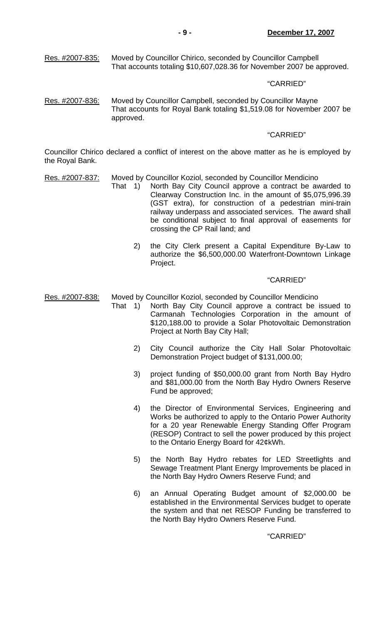#### "CARRIED"

Res. #2007-836: Moved by Councillor Campbell, seconded by Councillor Mayne That accounts for Royal Bank totaling \$1,519.08 for November 2007 be approved.

#### "CARRIED"

Councillor Chirico declared a conflict of interest on the above matter as he is employed by the Royal Bank.

- Res. #2007-837: Moved by Councillor Koziol, seconded by Councillor Mendicino
	- That 1) North Bay City Council approve a contract be awarded to Clearway Construction Inc. in the amount of \$5,075,996.39 (GST extra), for construction of a pedestrian mini-train railway underpass and associated services. The award shall be conditional subject to final approval of easements for crossing the CP Rail land; and
		- 2) the City Clerk present a Capital Expenditure By-Law to authorize the \$6,500,000.00 Waterfront-Downtown Linkage Project.

#### "CARRIED"

Res. #2007-838: Moved by Councillor Koziol, seconded by Councillor Mendicino

- That 1) North Bay City Council approve a contract be issued to Carmanah Technologies Corporation in the amount of \$120,188.00 to provide a Solar Photovoltaic Demonstration Project at North Bay City Hall;
	- 2) City Council authorize the City Hall Solar Photovoltaic Demonstration Project budget of \$131,000.00;
	- 3) project funding of \$50,000.00 grant from North Bay Hydro and \$81,000.00 from the North Bay Hydro Owners Reserve Fund be approved;
	- 4) the Director of Environmental Services, Engineering and Works be authorized to apply to the Ontario Power Authority for a 20 year Renewable Energy Standing Offer Program (RESOP) Contract to sell the power produced by this project to the Ontario Energy Board for 42¢kWh.
	- 5) the North Bay Hydro rebates for LED Streetlights and Sewage Treatment Plant Energy Improvements be placed in the North Bay Hydro Owners Reserve Fund; and
	- 6) an Annual Operating Budget amount of \$2,000.00 be established in the Environmental Services budget to operate the system and that net RESOP Funding be transferred to the North Bay Hydro Owners Reserve Fund.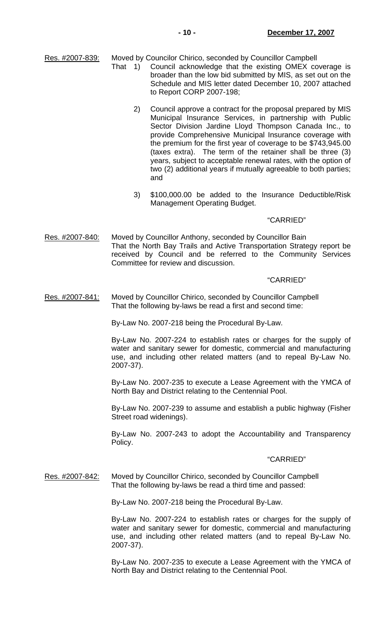Res. #2007-839: Moved by Councilor Chirico, seconded by Councillor Campbell

- That 1) Council acknowledge that the existing OMEX coverage is broader than the low bid submitted by MIS, as set out on the Schedule and MIS letter dated December 10, 2007 attached to Report CORP 2007-198;
	- 2) Council approve a contract for the proposal prepared by MIS Municipal Insurance Services, in partnership with Public Sector Division Jardine Lloyd Thompson Canada Inc., to provide Comprehensive Municipal Insurance coverage with the premium for the first year of coverage to be \$743,945.00 (taxes extra). The term of the retainer shall be three (3) years, subject to acceptable renewal rates, with the option of two (2) additional years if mutually agreeable to both parties; and
	- 3) \$100,000.00 be added to the Insurance Deductible/Risk Management Operating Budget.

#### "CARRIED"

Res. #2007-840: Moved by Councillor Anthony, seconded by Councillor Bain That the North Bay Trails and Active Transportation Strategy report be received by Council and be referred to the Community Services Committee for review and discussion.

#### "CARRIED"

#### Res. #2007-841: Moved by Councillor Chirico, seconded by Councillor Campbell That the following by-laws be read a first and second time:

By-Law No. 2007-218 being the Procedural By-Law.

 By-Law No. 2007-224 to establish rates or charges for the supply of water and sanitary sewer for domestic, commercial and manufacturing use, and including other related matters (and to repeal By-Law No. 2007-37).

 By-Law No. 2007-235 to execute a Lease Agreement with the YMCA of North Bay and District relating to the Centennial Pool.

 By-Law No. 2007-239 to assume and establish a public highway (Fisher Street road widenings).

 By-Law No. 2007-243 to adopt the Accountability and Transparency Policy.

#### "CARRIED"

Res. #2007-842: Moved by Councillor Chirico, seconded by Councillor Campbell That the following by-laws be read a third time and passed:

By-Law No. 2007-218 being the Procedural By-Law.

 By-Law No. 2007-224 to establish rates or charges for the supply of water and sanitary sewer for domestic, commercial and manufacturing use, and including other related matters (and to repeal By-Law No. 2007-37).

 By-Law No. 2007-235 to execute a Lease Agreement with the YMCA of North Bay and District relating to the Centennial Pool.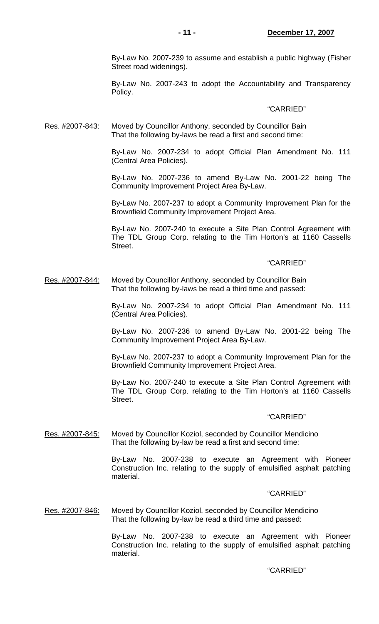By-Law No. 2007-239 to assume and establish a public highway (Fisher Street road widenings).

 By-Law No. 2007-243 to adopt the Accountability and Transparency Policy.

#### "CARRIED"

Res. #2007-843: Moved by Councillor Anthony, seconded by Councillor Bain That the following by-laws be read a first and second time:

> By-Law No. 2007-234 to adopt Official Plan Amendment No. 111 (Central Area Policies).

> By-Law No. 2007-236 to amend By-Law No. 2001-22 being The Community Improvement Project Area By-Law.

> By-Law No. 2007-237 to adopt a Community Improvement Plan for the Brownfield Community Improvement Project Area.

> By-Law No. 2007-240 to execute a Site Plan Control Agreement with The TDL Group Corp. relating to the Tim Horton's at 1160 Cassells Street.

#### "CARRIED"

Res. #2007-844: Moved by Councillor Anthony, seconded by Councillor Bain That the following by-laws be read a third time and passed:

> By-Law No. 2007-234 to adopt Official Plan Amendment No. 111 (Central Area Policies).

> By-Law No. 2007-236 to amend By-Law No. 2001-22 being The Community Improvement Project Area By-Law.

> By-Law No. 2007-237 to adopt a Community Improvement Plan for the Brownfield Community Improvement Project Area.

> By-Law No. 2007-240 to execute a Site Plan Control Agreement with The TDL Group Corp. relating to the Tim Horton's at 1160 Cassells Street.

#### "CARRIED"

Res. #2007-845: Moved by Councillor Koziol, seconded by Councillor Mendicino That the following by-law be read a first and second time:

> By-Law No. 2007-238 to execute an Agreement with Pioneer Construction Inc. relating to the supply of emulsified asphalt patching material.

#### "CARRIED"

Res. #2007-846: Moved by Councillor Koziol, seconded by Councillor Mendicino That the following by-law be read a third time and passed:

> By-Law No. 2007-238 to execute an Agreement with Pioneer Construction Inc. relating to the supply of emulsified asphalt patching material.